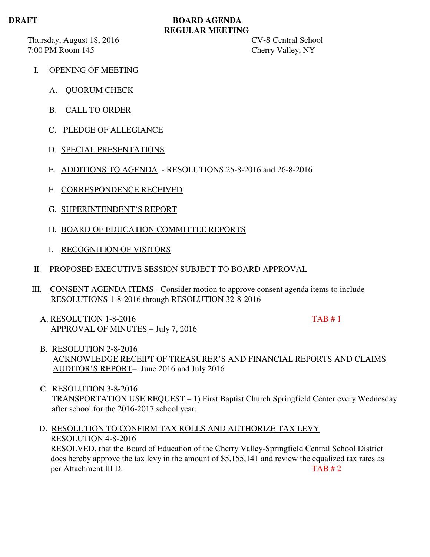## **DRAFT BOARD AGENDA REGULAR MEETING**

Thursday, August 18, 2016 CV-S Central School 7:00 PM Room 145 Cherry Valley, NY

- I. OPENING OF MEETING
	- A. QUORUM CHECK
	- B. CALL TO ORDER
	- C. PLEDGE OF ALLEGIANCE
	- D. SPECIAL PRESENTATIONS
	- E. ADDITIONS TO AGENDA RESOLUTIONS 25-8-2016 and 26-8-2016
	- F. CORRESPONDENCE RECEIVED
	- G. SUPERINTENDENT'S REPORT
	- H. BOARD OF EDUCATION COMMITTEE REPORTS
	- I. RECOGNITION OF VISITORS
- II. PROPOSED EXECUTIVE SESSION SUBJECT TO BOARD APPROVAL
- III. CONSENT AGENDA ITEMS Consider motion to approve consent agenda items to include RESOLUTIONS 1-8-2016 through RESOLUTION 32-8-2016
	- A. RESOLUTION 1-8-2016 TAB # 1 APPROVAL OF MINUTES – July 7, 2016

- B. RESOLUTION 2-8-2016 ACKNOWLEDGE RECEIPT OF TREASURER'S AND FINANCIAL REPORTS AND CLAIMS AUDITOR'S REPORT– June 2016 and July 2016
- C. RESOLUTION 3-8-2016 TRANSPORTATION USE REQUEST – 1) First Baptist Church Springfield Center every Wednesday after school for the 2016-2017 school year.
- D. RESOLUTION TO CONFIRM TAX ROLLS AND AUTHORIZE TAX LEVY RESOLUTION 4-8-2016 RESOLVED, that the Board of Education of the Cherry Valley-Springfield Central School District does hereby approve the tax levy in the amount of \$5,155,141 and review the equalized tax rates as per Attachment III D. TAB # 2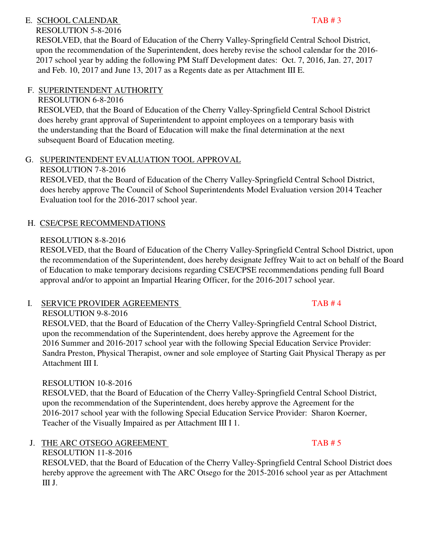# E. SCHOOL CALENDAR TAB # 3

# RESOLUTION 5-8-2016

 RESOLVED, that the Board of Education of the Cherry Valley-Springfield Central School District, upon the recommendation of the Superintendent, does hereby revise the school calendar for the 2016- 2017 school year by adding the following PM Staff Development dates: Oct. 7, 2016, Jan. 27, 2017 and Feb. 10, 2017 and June 13, 2017 as a Regents date as per Attachment III E.

# F. SUPERINTENDENT AUTHORITY

# RESOLUTION 6-8-2016

 RESOLVED, that the Board of Education of the Cherry Valley-Springfield Central School District does hereby grant approval of Superintendent to appoint employees on a temporary basis with the understanding that the Board of Education will make the final determination at the next subsequent Board of Education meeting.

# G. SUPERINTENDENT EVALUATION TOOL APPROVAL

# RESOLUTION 7-8-2016

 RESOLVED, that the Board of Education of the Cherry Valley-Springfield Central School District, does hereby approve The Council of School Superintendents Model Evaluation version 2014 Teacher Evaluation tool for the 2016-2017 school year.

# H. CSE/CPSE RECOMMENDATIONS

# RESOLUTION 8-8-2016

RESOLVED, that the Board of Education of the Cherry Valley-Springfield Central School District, upon the recommendation of the Superintendent, does hereby designate Jeffrey Wait to act on behalf of the Board of Education to make temporary decisions regarding CSE/CPSE recommendations pending full Board approval and/or to appoint an Impartial Hearing Officer, for the 2016-2017 school year.

# I. SERVICE PROVIDER AGREEMENTS TAB # 4

# RESOLUTION 9-8-2016

 RESOLVED, that the Board of Education of the Cherry Valley-Springfield Central School District, upon the recommendation of the Superintendent, does hereby approve the Agreement for the 2016 Summer and 2016-2017 school year with the following Special Education Service Provider: Sandra Preston, Physical Therapist, owner and sole employee of Starting Gait Physical Therapy as per Attachment III I.

# RESOLUTION 10-8-2016

 RESOLVED, that the Board of Education of the Cherry Valley-Springfield Central School District, upon the recommendation of the Superintendent, does hereby approve the Agreement for the 2016-2017 school year with the following Special Education Service Provider: Sharon Koerner, Teacher of the Visually Impaired as per Attachment III I 1.

# J. THE ARC OTSEGO AGREEMENT TAB # 5

 RESOLUTION 11-8-2016 RESOLVED, that the Board of Education of the Cherry Valley-Springfield Central School District does hereby approve the agreement with The ARC Otsego for the 2015-2016 school year as per Attachment III J.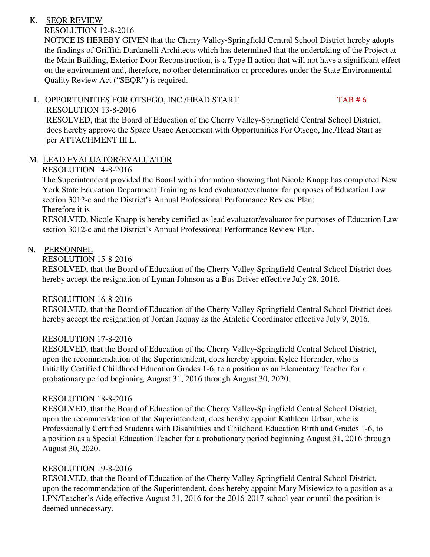# K. SEQR REVIEW

# RESOLUTION 12-8-2016

 NOTICE IS HEREBY GIVEN that the Cherry Valley-Springfield Central School District hereby adopts the findings of Griffith Dardanelli Architects which has determined that the undertaking of the Project at the Main Building, Exterior Door Reconstruction, is a Type II action that will not have a significant effect on the environment and, therefore, no other determination or procedures under the State Environmental Quality Review Act ("SEQR") is required.

# L. OPPORTUNITIES FOR OTSEGO, INC./HEAD START TAB # 6

# RESOLUTION 13-8-2016

 RESOLVED, that the Board of Education of the Cherry Valley-Springfield Central School District, does hereby approve the Space Usage Agreement with Opportunities For Otsego, Inc./Head Start as per ATTACHMENT III L.

# M. LEAD EVALUATOR/EVALUATOR

# RESOLUTION 14-8-2016

 The Superintendent provided the Board with information showing that Nicole Knapp has completed New York State Education Department Training as lead evaluator/evaluator for purposes of Education Law section 3012-c and the District's Annual Professional Performance Review Plan; Therefore it is

 RESOLVED, Nicole Knapp is hereby certified as lead evaluator/evaluator for purposes of Education Law section 3012-c and the District's Annual Professional Performance Review Plan.

# N. PERSONNEL

RESOLUTION 15-8-2016

 RESOLVED, that the Board of Education of the Cherry Valley-Springfield Central School District does hereby accept the resignation of Lyman Johnson as a Bus Driver effective July 28, 2016.

## RESOLUTION 16-8-2016

 RESOLVED, that the Board of Education of the Cherry Valley-Springfield Central School District does hereby accept the resignation of Jordan Jaquay as the Athletic Coordinator effective July 9, 2016.

# RESOLUTION 17-8-2016

 RESOLVED, that the Board of Education of the Cherry Valley-Springfield Central School District, upon the recommendation of the Superintendent, does hereby appoint Kylee Horender, who is Initially Certified Childhood Education Grades 1-6, to a position as an Elementary Teacher for a probationary period beginning August 31, 2016 through August 30, 2020.

# RESOLUTION 18-8-2016

 RESOLVED, that the Board of Education of the Cherry Valley-Springfield Central School District, upon the recommendation of the Superintendent, does hereby appoint Kathleen Urban, who is Professionally Certified Students with Disabilities and Childhood Education Birth and Grades 1-6, to a position as a Special Education Teacher for a probationary period beginning August 31, 2016 through August 30, 2020.

## RESOLUTION 19-8-2016

 RESOLVED, that the Board of Education of the Cherry Valley-Springfield Central School District, upon the recommendation of the Superintendent, does hereby appoint Mary Misiewicz to a position as a LPN/Teacher's Aide effective August 31, 2016 for the 2016-2017 school year or until the position is deemed unnecessary.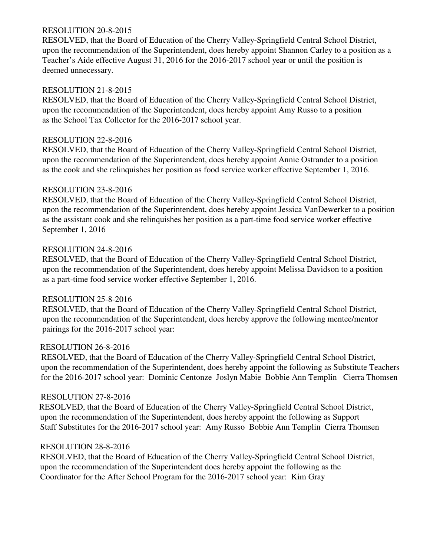### RESOLUTION 20-8-2015

 RESOLVED, that the Board of Education of the Cherry Valley-Springfield Central School District, upon the recommendation of the Superintendent, does hereby appoint Shannon Carley to a position as a Teacher's Aide effective August 31, 2016 for the 2016-2017 school year or until the position is deemed unnecessary.

## RESOLUTION 21-8-2015

 RESOLVED, that the Board of Education of the Cherry Valley-Springfield Central School District, upon the recommendation of the Superintendent, does hereby appoint Amy Russo to a position as the School Tax Collector for the 2016-2017 school year.

## RESOLUTION 22-8-2016

 RESOLVED, that the Board of Education of the Cherry Valley-Springfield Central School District, upon the recommendation of the Superintendent, does hereby appoint Annie Ostrander to a position as the cook and she relinquishes her position as food service worker effective September 1, 2016.

## RESOLUTION 23-8-2016

 RESOLVED, that the Board of Education of the Cherry Valley-Springfield Central School District, upon the recommendation of the Superintendent, does hereby appoint Jessica VanDewerker to a position as the assistant cook and she relinquishes her position as a part-time food service worker effective September 1, 2016

## RESOLUTION 24-8-2016

 RESOLVED, that the Board of Education of the Cherry Valley-Springfield Central School District, upon the recommendation of the Superintendent, does hereby appoint Melissa Davidson to a position as a part-time food service worker effective September 1, 2016.

# RESOLUTION 25-8-2016

 RESOLVED, that the Board of Education of the Cherry Valley-Springfield Central School District, upon the recommendation of the Superintendent, does hereby approve the following mentee/mentor pairings for the 2016-2017 school year:

## RESOLUTION 26-8-2016

 RESOLVED, that the Board of Education of the Cherry Valley-Springfield Central School District, upon the recommendation of the Superintendent, does hereby appoint the following as Substitute Teachers for the 2016-2017 school year: Dominic Centonze Joslyn Mabie Bobbie Ann Templin Cierra Thomsen

## RESOLUTION 27-8-2016

 RESOLVED, that the Board of Education of the Cherry Valley-Springfield Central School District, upon the recommendation of the Superintendent, does hereby appoint the following as Support Staff Substitutes for the 2016-2017 school year: Amy Russo Bobbie Ann Templin Cierra Thomsen

## RESOLUTION 28-8-2016

 RESOLVED, that the Board of Education of the Cherry Valley-Springfield Central School District, upon the recommendation of the Superintendent does hereby appoint the following as the Coordinator for the After School Program for the 2016-2017 school year: Kim Gray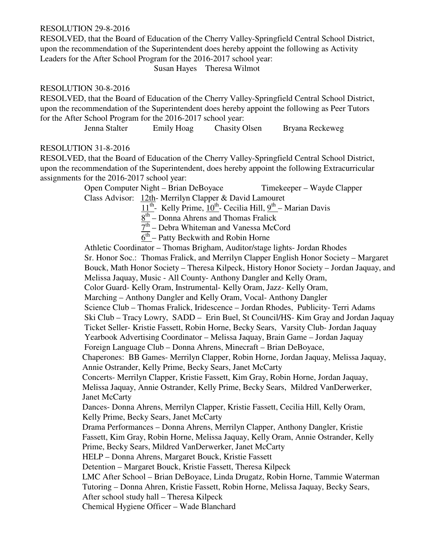#### RESOLUTION 29-8-2016

 RESOLVED, that the Board of Education of the Cherry Valley-Springfield Central School District, upon the recommendation of the Superintendent does hereby appoint the following as Activity Leaders for the After School Program for the 2016-2017 school year:

Susan Hayes Theresa Wilmot

#### RESOLUTION 30-8-2016

 RESOLVED, that the Board of Education of the Cherry Valley-Springfield Central School District, upon the recommendation of the Superintendent does hereby appoint the following as Peer Tutors for the After School Program for the 2016-2017 school year:

Jenna Stalter Emily Hoag Chasity Olsen Bryana Reckeweg

### RESOLUTION 31-8-2016

 RESOLVED, that the Board of Education of the Cherry Valley-Springfield Central School District, upon the recommendation of the Superintendent, does hereby appoint the following Extracurricular assignments for the 2016-2017 school year:

> Open Computer Night – Brian DeBoyace Timekeeper – Wayde Clapper Class Advisor: 12th- Merrilyn Clapper & David Lamouret

 $11<sup>th</sup>$ - Kelly Prime,  $10<sup>th</sup>$ - Cecilia Hill,  $9<sup>th</sup>$ - Marian Davis

 $8<sup>th</sup>$  – Donna Ahrens and Thomas Fralick

 $7<sup>th</sup>$  – Debra Whiteman and Vanessa McCord

 $\overline{6^{th}}$  – Patty Beckwith and Robin Horne

Athletic Coordinator – Thomas Brigham, Auditor/stage lights- Jordan Rhodes Sr. Honor Soc.: Thomas Fralick, and Merrilyn Clapper English Honor Society – Margaret Bouck, Math Honor Society – Theresa Kilpeck, History Honor Society – Jordan Jaquay, and Melissa Jaquay, Music - All County- Anthony Dangler and Kelly Oram, Color Guard- Kelly Oram, Instrumental- Kelly Oram, Jazz- Kelly Oram, Marching – Anthony Dangler and Kelly Oram, Vocal- Anthony Dangler Science Club – Thomas Fralick, Iridescence – Jordan Rhodes, Publicity- Terri Adams Ski Club – Tracy Lowry, SADD – Erin Buel, St Council/HS- Kim Gray and Jordan Jaquay Ticket Seller- Kristie Fassett, Robin Horne, Becky Sears, Varsity Club- Jordan Jaquay Yearbook Advertising Coordinator – Melissa Jaquay, Brain Game – Jordan Jaquay Foreign Language Club – Donna Ahrens, Minecraft – Brian DeBoyace, Chaperones: BB Games- Merrilyn Clapper, Robin Horne, Jordan Jaquay, Melissa Jaquay, Annie Ostrander, Kelly Prime, Becky Sears, Janet McCarty Concerts- Merrilyn Clapper, Kristie Fassett, Kim Gray, Robin Horne, Jordan Jaquay, Melissa Jaquay, Annie Ostrander, Kelly Prime, Becky Sears, Mildred VanDerwerker, Janet McCarty Dances- Donna Ahrens, Merrilyn Clapper, Kristie Fassett, Cecilia Hill, Kelly Oram, Kelly Prime, Becky Sears, Janet McCarty Drama Performances – Donna Ahrens, Merrilyn Clapper, Anthony Dangler, Kristie Fassett, Kim Gray, Robin Horne, Melissa Jaquay, Kelly Oram, Annie Ostrander, Kelly Prime, Becky Sears, Mildred VanDerwerker, Janet McCarty HELP – Donna Ahrens, Margaret Bouck, Kristie Fassett Detention – Margaret Bouck, Kristie Fassett, Theresa Kilpeck LMC After School – Brian DeBoyace, Linda Drugatz, Robin Horne, Tammie Waterman Tutoring – Donna Ahren, Kristie Fassett, Robin Horne, Melissa Jaquay, Becky Sears, After school study hall – Theresa Kilpeck Chemical Hygiene Officer – Wade Blanchard